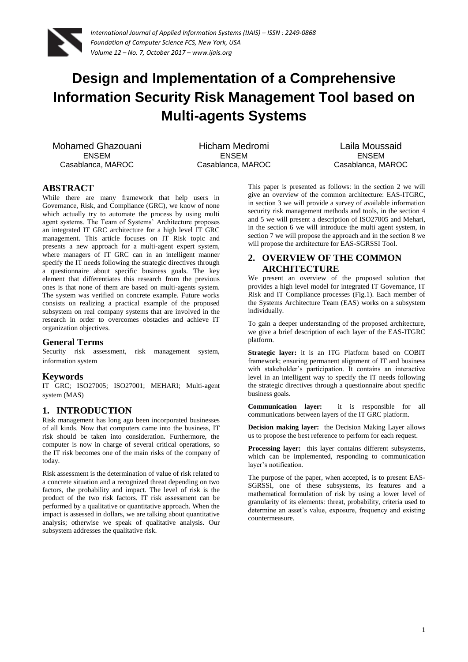

# **Design and Implementation of a Comprehensive Information Security Risk Management Tool based on Multi-agents Systems**

Mohamed Ghazouani ENSEM Casablanca, MAROC

Hicham Medromi ENSEM Casablanca, MAROC

Laila Moussaid ENSEM Casablanca, MAROC

# **ABSTRACT**

While there are many framework that help users in Governance, Risk, and Compliance (GRC), we know of none which actually try to automate the process by using multi agent systems. The Team of Systems' Architecture proposes an integrated IT GRC architecture for a high level IT GRC management. This article focuses on IT Risk topic and presents a new approach for a multi-agent expert system, where managers of IT GRC can in an intelligent manner specify the IT needs following the strategic directives through a questionnaire about specific business goals. The key element that differentiates this research from the previous ones is that none of them are based on multi-agents system. The system was verified on concrete example. Future works consists on realizing a practical example of the proposed subsystem on real company systems that are involved in the research in order to overcomes obstacles and achieve IT organization objectives.

# **General Terms**

Security risk assessment, risk management system, information system

# **Keywords**

IT GRC; ISO27005; ISO27001; MEHARI; Multi-agent system (MAS)

# **1. INTRODUCTION**

Risk management has long ago been incorporated businesses of all kinds. Now that computers came into the business, IT risk should be taken into consideration. Furthermore, the computer is now in charge of several critical operations, so the IT risk becomes one of the main risks of the company of today.

Risk assessment is the determination of value of risk related to a concrete situation and a recognized threat depending on two factors, the probability and impact. The level of risk is the product of the two risk factors. IT risk assessment can be performed by a qualitative or quantitative approach. When the impact is assessed in dollars, we are talking about quantitative analysis; otherwise we speak of qualitative analysis. Our subsystem addresses the qualitative risk.

This paper is presented as follows: in the section 2 we will give an overview of the common architecture: EAS-ITGRC, in section 3 we will provide a survey of available information security risk management methods and tools, in the section 4 and 5 we will present a description of ISO27005 and Mehari, in the section 6 we will introduce the multi agent system, in section 7 we will propose the approach and in the section 8 we will propose the architecture for EAS-SGRSSI Tool.

# **2. OVERVIEW OF THE COMMON ARCHITECTURE**

We present an overview of the proposed solution that provides a high level model for integrated IT Governance, IT Risk and IT Compliance processes (Fig.1). Each member of the Systems Architecture Team (EAS) works on a subsystem individually.

To gain a deeper understanding of the proposed architecture, we give a brief description of each layer of the EAS-ITGRC platform.

**Strategic layer:** it is an ITG Platform based on COBIT framework; ensuring permanent alignment of IT and business with stakeholder's participation. It contains an interactive level in an intelligent way to specify the IT needs following the strategic directives through a questionnaire about specific business goals.

**Communication layer:** it is responsible for all communications between layers of the IT GRC platform.

**Decision making layer:** the Decision Making Layer allows us to propose the best reference to perform for each request.

**Processing layer:** this layer contains different subsystems, which can be implemented, responding to communication layer's notification.

The purpose of the paper, when accepted, is to present EAS-SGRSSI, one of these subsystems, its features and a mathematical formulation of risk by using a lower level of granularity of its elements: threat, probability, criteria used to determine an asset's value, exposure, frequency and existing countermeasure.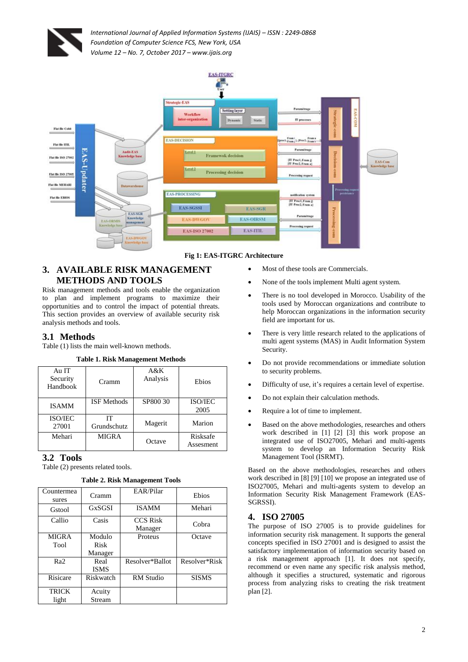



#### **Fig 1: EAS-ITGRC Architecture**

# **3. AVAILABLE RISK MANAGEMENT METHODS AND TOOLS**

Risk management methods and tools enable the organization to plan and implement programs to maximize their opportunities and to control the impact of potential threats. This section provides an overview of available security risk analysis methods and tools.

# **3.1 Methods**

Table (1) lists the main well-known methods.

**Table 1. Risk Management Methods**

| Au IT<br>Security<br>Handbook | Cramm              | A & K<br>Analysis | Ebios                  |
|-------------------------------|--------------------|-------------------|------------------------|
| <b>ISAMM</b>                  | <b>ISF</b> Methods | SP800 30          | <b>ISO/JEC</b><br>2005 |
| <b>ISO/JEC</b><br>27001       | IT<br>Grundschutz  | Magerit           | Marion                 |
| Mehari                        | <b>MIGRA</b>       | Octave            | Risksafe<br>Assesment  |

# **3.2 Tools**

Table (2) presents related tools.

**Table 2. Risk Management Tools**

| Countermea<br>sures | Cramm       | EAR/Pilar                  | Ebios         |
|---------------------|-------------|----------------------------|---------------|
| Gstool              | GxSGSI      | <b>ISAMM</b>               | Mehari        |
| Callio              | Casis       | <b>CCS Risk</b><br>Manager | Cobra         |
| <b>MIGRA</b>        | Modulo      | Proteus                    | Octave        |
| Tool                | Risk        |                            |               |
|                     | Manager     |                            |               |
| Ra <sub>2</sub>     | Real        | Resolver*Ballot            | Resolver*Risk |
|                     | <b>ISMS</b> |                            |               |
| Risicare            | Riskwatch   | <b>RM</b> Studio           | <b>SISMS</b>  |
| TRICK               | Acuity      |                            |               |
| light               | Stream      |                            |               |

- Most of these tools are Commercials.
- None of the tools implement Multi agent system.
- There is no tool developed in Morocco. Usability of the tools used by Moroccan organizations and contribute to help Moroccan organizations in the information security field are important for us.
- There is very little research related to the applications of multi agent systems (MAS) in Audit Information System Security.
- Do not provide recommendations or immediate solution to security problems.
- Difficulty of use, it's requires a certain level of expertise.
- Do not explain their calculation methods.
- Require a lot of time to implement.
- Based on the above methodologies, researches and others work described in [1] [2] [3] this work propose an integrated use of ISO27005, Mehari and multi-agents system to develop an Information Security Risk Management Tool (ISRMT).

Based on the above methodologies, researches and others work described in [8] [9] [10] we propose an integrated use of ISO27005, Mehari and multi-agents system to develop an Information Security Risk Management Framework (EAS-SGRSSI).

# **4. ISO 27005**

The purpose of ISO 27005 is to provide guidelines for information security risk management. It supports the general concepts specified in [ISO 27001](http://en.wikipedia.org/wiki/ISO/IEC_27001) and is designed to assist the satisfactory implementation of information security based on a risk management approach [1]. It does not specify, recommend or even name any specific risk analysis method, although it specifies a structured, systematic and rigorous process from analyzing risks to creating the risk treatment plan [2].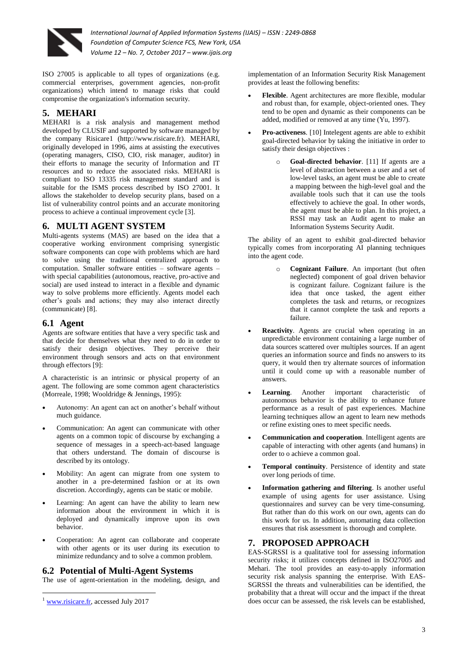

ISO 27005 is applicable to all types of organizations (e.g. commercial enterprises, government agencies, non-profit organizations) which intend to manage risks that could compromise the organization's information security.

# **5. MEHARI**

MEHARI is a risk analysis and management method developed by CLUSIF and supported by software managed by the company Risicare1 [\(http://www.risicare.fr\)](http://www.risicare.fr/). MEHARI, originally developed in 1996, aims at assisting the executives (operating managers, CISO, CIO, risk manager, auditor) in their efforts to manage the security of Information and IT resources and to reduce the associated risks. MEHARI is compliant to ISO 13335 risk management standard and is suitable for the ISMS process described by ISO 27001. It allows the stakeholder to develop security plans, based on a list of vulnerability control points and an accurate monitoring process to achieve a continual improvement cycle [3].

# **6. MULTI AGENT SYSTEM**

Multi-agents systems (MAS) are based on the idea that a cooperative working environment comprising synergistic software components can cope with problems which are hard to solve using the traditional centralized approach to computation. Smaller software entities – software agents – with special capabilities (autonomous, reactive, pro-active and social) are used instead to interact in a flexible and dynamic way to solve problems more efficiently. Agents model each other's goals and actions; they may also interact directly (communicate) [8].

# **6.1 Agent**

Agents are software entities that have a very specific task and that decide for themselves what they need to do in order to satisfy their design objectives. They perceive their environment through sensors and acts on that environment through effectors [9]:

A characteristic is an intrinsic or physical property of an agent. The following are some common agent characteristics (Morreale, 1998; Wooldridge & Jennings, 1995):

- Autonomy: An agent can act on another's behalf without much guidance.
- Communication: An agent can communicate with other agents on a common topic of discourse by exchanging a sequence of messages in a speech-act-based language that others understand. The domain of discourse is described by its ontology.
- Mobility: An agent can migrate from one system to another in a pre-determined fashion or at its own discretion. Accordingly, agents can be static or mobile.
- Learning: An agent can have the ability to learn new information about the environment in which it is deployed and dynamically improve upon its own behavior.
- Cooperation: An agent can collaborate and cooperate with other agents or its user during its execution to minimize redundancy and to solve a common problem.

# **6.2 Potential of Multi-Agent Systems**

The use of agent-orientation in the modeling, design, and

implementation of an Information Security Risk Management provides at least the following benefits:

- **Flexible**. Agent architectures are more flexible, modular and robust than, for example, object-oriented ones. They tend to be open and dynamic as their components can be added, modified or removed at any time (Yu, 1997).
- **Pro-activeness**. [10] Intelegent agents are able to exhibit goal-directed behavior by taking the initiative in order to satisfy their design objectives :
	- o **Goal-directed behavior**. [11] If agents are a level of abstraction between a user and a set of low-level tasks, an agent must be able to create a mapping between the high-level goal and the available tools such that it can use the tools effectively to achieve the goal. In other words, the agent must be able to plan. In this project, a RSSI may task an Audit agent to make an Information Systems Security Audit.

The ability of an agent to exhibit goal-directed behavior typically comes from incorporating AI planning techniques into the agent code.

- Cognizant Failure. An important (but often neglected) component of goal driven behavior is cognizant failure. Cognizant failure is the idea that once tasked, the agent either completes the task and returns, or recognizes that it cannot complete the task and reports a failure.
- **Reactivity**. Agents are crucial when operating in an unpredictable environment containing a large number of data sources scattered over multiples sources. If an agent queries an information source and finds no answers to its query, it would then try alternate sources of information until it could come up with a reasonable number of answers.
- **Learning**. Another important characteristic of autonomous behavior is the ability to enhance future performance as a result of past experiences. Machine learning techniques allow an agent to learn new methods or refine existing ones to meet specific needs.
- **Communication and cooperation**. Intelligent agents are capable of interacting with other agents (and humans) in order to o achieve a common goal.
- **Temporal continuity**. Persistence of identity and state over long periods of time.
- **Information gathering and filtering**. Is another useful example of using agents for user assistance. Using questionnaires and survey can be very time-consuming. But rather than do this work on our own, agents can do this work for us. In addition, automating data collection ensures that risk assessment is thorough and complete.

# **7. PROPOSED APPROACH**

EAS-SGRSSI is a qualitative tool for assessing information security risks; it utilizes concepts defined in ISO27005 and Mehari. The tool provides an easy-to-apply information security risk analysis spanning the enterprise. With EAS-SGRSSI the threats and vulnerabilities can be identified, the probability that a threat will occur and the impact if the threat does occur can be assessed, the risk levels can be established,

**<sup>.</sup>** <sup>1</sup> [www.risicare.fr,](http://www.risicare.fr/) accessed July 2017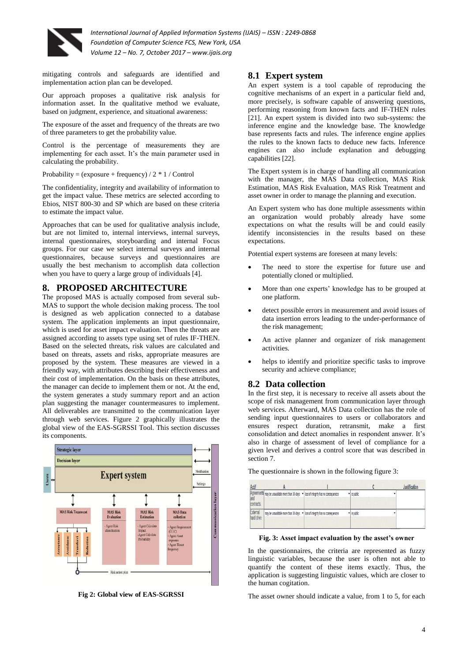

mitigating controls and safeguards are identified and implementation action plan can be developed.

Our approach proposes a qualitative risk analysis for information asset. In the qualitative method we evaluate, based on judgment, experience, and situational awareness:

The exposure of the asset and frequency of the threats are two of three parameters to get the probability value.

Control is the percentage of measurements they are implementing for each asset. It's the main parameter used in calculating the probability.

Probability = (exposure + frequency) /  $2 * 1$  / Control

The confidentiality, integrity and availability of information to get the impact value. These metrics are selected according to Ebios, NIST 800-30 and SP which are based on these criteria to estimate the impact value.

Approaches that can be used for qualitative analysis include, but are not limited to, internal interviews, internal surveys, internal questionnaires, storyboarding and internal Focus groups. For our case we select internal surveys and internal questionnaires, because surveys and questionnaires are usually the best mechanism to accomplish data collection when you have to query a large group of individuals [4].

### **8. PROPOSED ARCHITECTURE**

The proposed MAS is actually composed from several sub-MAS to support the whole decision making process. The tool is designed as web application connected to a database system. The application implements an input questionnaire, which is used for asset impact evaluation. Then the threats are assigned according to assets type using set of rules IF-THEN. Based on the selected threats, risk values are calculated and based on threats, assets and risks, appropriate measures are proposed by the system. These measures are viewed in a friendly way, with attributes describing their effectiveness and their cost of implementation. On the basis on these attributes, the manager can decide to implement them or not. At the end, the system generates a study summary report and an action plan suggesting the manager countermeasures to implement. All deliverables are transmitted to the communication layer through web services. Figure 2 graphically illustrates the global view of the EAS-SGRSSI Tool. This section discusses its components.



**Fig 2: Global view of EAS-SGRSSI**

### **8.1 Expert system**

An expert system is a tool capable of reproducing the cognitive mechanisms of an expert in a particular field and, more precisely, is software capable of answering questions, performing reasoning from known facts and IF-THEN rules [21]. An expert system is divided into two sub-systems: the inference engine and the knowledge base. The knowledge base represents facts and rules. The inference engine applies the rules to the known facts to deduce new facts. Inference engines can also include explanation and debugging capabilities [22].

The Expert system is in charge of handling all communication with the manager, the MAS Data collection, MAS Risk Estimation, MAS Risk Evaluation, MAS Risk Treatment and asset owner in order to manage the planning and execution.

An Expert system who has done multiple assessments within an organization would probably already have some expectations on what the results will be and could easily identify inconsistencies in the results based on these expectations.

Potential expert systems are foreseen at many levels:

- The need to store the expertise for future use and potentially cloned or multiplied.
- More than one experts' knowledge has to be grouped at one platform.
- detect possible errors in measurement and avoid issues of data insertion errors leading to the under-performance of the risk management;
- An active planner and organizer of risk management activities.
- helps to identify and prioritize specific tasks to improve security and achieve compliance;

#### **8.2 Data collection**

In the first step, it is necessary to receive all assets about the scope of risk management from communication layer through web services. Afterward, MAS Data collection has the role of sending input questionnaires to users or collaborators and ensures respect duration, retransmit, make a first consolidation and detect anomalies in respondent answer. It's also in charge of assessment of level of compliance for a given level and derives a control score that was described in section 7.

| Actif                   |                                                                                                                                                     |             | lustification |
|-------------------------|-----------------------------------------------------------------------------------------------------------------------------------------------------|-------------|---------------|
| and<br>contracts        | $\overline{\text{A}$ greements $\overline{\text{may}}$ be unavailable more than 30 days $\overline{\text{v}}$ loss of integrity has no consequences | v is public |               |
| External<br>hard drive. | may be unavailable more than 30 days $\blacktriangledown$ loss of integrity has no consequences                                                     | v is public |               |

The questionnaire is shown in the following figure 3:

**Fig. 3: Asset impact evaluation by the asset's owner**

In the questionnaires, the criteria are represented as fuzzy linguistic variables, because the user is often not able to quantify the content of these items exactly. Thus, the application is suggesting linguistic values, which are closer to the human cogitation.

The asset owner should indicate a value, from 1 to 5, for each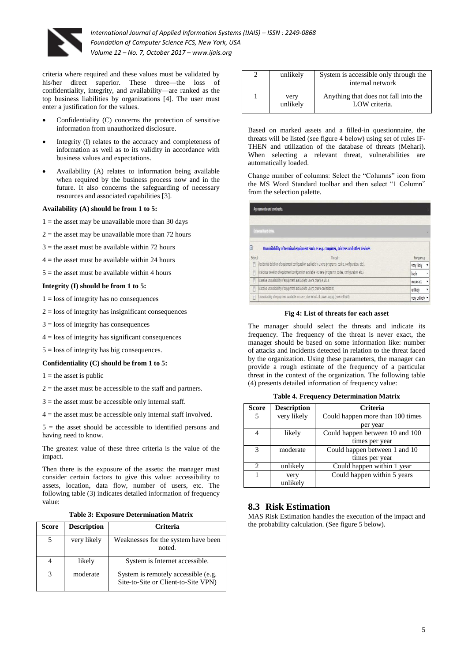

criteria where required and these values must be validated by his/her direct superior. These three—the loss of confidentiality, integrity, and availability—are ranked as the top business liabilities by organizations [4]. The user must enter a justification for the values.

- Confidentiality (C) concerns the protection of sensitive information from unauthorized disclosure.
- Integrity (I) relates to the accuracy and completeness of information as well as to its validity in accordance with business values and expectations.
- Availability (A) relates to information being available when required by the business process now and in the future. It also concerns the safeguarding of necessary resources and associated capabilities [3].

#### **Availability (A) should be from 1 to 5:**

- $1 =$  the asset may be unavailable more than 30 days
- $2 =$  the asset may be unavailable more than 72 hours
- $3$  = the asset must be available within 72 hours
- $4 =$  the asset must be available within 24 hours
- $5$  = the asset must be available within 4 hours

#### **Integrity (I) should be from 1 to 5:**

- $1 =$ loss of integrity has no consequences
- $2 =$ loss of integrity has insignificant consequences
- $3 =$ loss of integrity has consequences
- $4 =$ loss of integrity has significant consequences
- $5 =$ loss of integrity has big consequences.

#### **Confidentiality (C) should be from 1 to 5:**

- $1 =$  the asset is public
- $2$  = the asset must be accessible to the staff and partners.
- $3$  = the asset must be accessible only internal staff.
- $4$  = the asset must be accessible only internal staff involved.

 $5 =$  the asset should be accessible to identified persons and having need to know.

The greatest value of these three criteria is the value of the impact.

Then there is the exposure of the assets: the manager must consider certain factors to give this value: accessibility to assets, location, data flow, number of users, etc. The following table (3) indicates detailed information of frequency value:

#### **Table 3: Exposure Determination Matrix**

| Score | <b>Description</b> | Criteria                                                                   |  |
|-------|--------------------|----------------------------------------------------------------------------|--|
|       | very likely        | Weaknesses for the system have been<br>noted.                              |  |
|       | likely             | System is Internet accessible.                                             |  |
| 3     | moderate           | System is remotely accessible (e.g.<br>Site-to-Site or Client-to-Site VPN) |  |

| unlikely         | System is accessible only through the<br>internal network |  |
|------------------|-----------------------------------------------------------|--|
| very<br>unlikely | Anything that does not fall into the<br>LOW criteria.     |  |

Based on marked assets and a filled-in questionnaire, the threats will be listed (see figure 4 below) using set of rules IF-THEN and utilization of the database of threats (Mehari). When selecting a relevant threat, vulnerabilities are automatically loaded.

Change number of columns: Select the "Columns" icon from the MS Word Standard toolbar and then select "1 Column" from the selection palette.

|             | Agreements and contracts.                                                                                 |               |
|-------------|-----------------------------------------------------------------------------------------------------------|---------------|
|             |                                                                                                           |               |
|             | External hard drive.                                                                                      |               |
| Θ<br>Select | Unavailability of terminal equipment such as e.g. computer, printers and other devices<br>Threat          | Frequency     |
| ī           | Accidental deletion of equipment configuration available to users (programs, codes, configuration, etc.). | very likely   |
| f           | Malicious deletion of equipment configuration available to users (programs, codes, configuration, etc.).  | likely<br>٠   |
| F           | Massive unavailability of equipment available to users, due to a virus.                                   | moderate<br>۰ |
| 司           | Massive unavailability of equipment available to users, due to an incident.                               | unlikeh<br>۰  |
|             |                                                                                                           |               |

#### **Fig 4: List of threats for each asset**

The manager should select the threats and indicate its frequency. The frequency of the threat is never exact, the manager should be based on some information like: number of attacks and incidents detected in relation to the threat faced by the organization. Using these parameters, the manager can provide a rough estimate of the frequency of a particular threat in the context of the organization. The following table (4) presents detailed information of frequency value:

| Score                       | <b>Description</b> | Criteria                         |
|-----------------------------|--------------------|----------------------------------|
| 5                           | very likely        | Could happen more than 100 times |
|                             |                    | per year                         |
|                             | likely             | Could happen between 10 and 100  |
|                             |                    | times per year                   |
| $\mathcal{R}$               | moderate           | Could happen between 1 and 10    |
|                             |                    | times per year                   |
| $\mathcal{D}_{\mathcal{A}}$ | unlikely           | Could happen within 1 year       |
|                             | very               | Could happen within 5 years      |
|                             | unlikely           |                                  |

### **8.3 Risk Estimation**

MAS Risk Estimation handles the execution of the impact and the probability calculation. (See figure 5 below).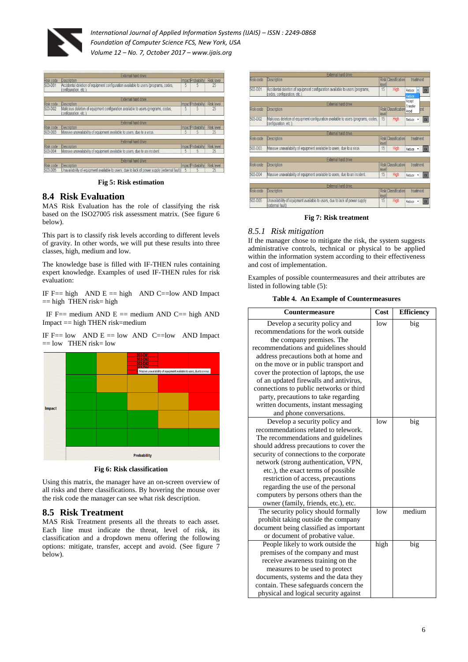



**Fig 5: Risk estimation**

### **8.4 Risk Evaluation**

MAS Risk Evaluation has the role of classifying the risk based on the ISO27005 risk assessment matrix. (See figure 6 below).

This part is to classify risk levels according to different levels of gravity. In other words, we will put these results into three classes, high, medium and low.

The knowledge base is filled with IF-THEN rules containing expert knowledge. Examples of used IF-THEN rules for risk evaluation:

IF  $F == high$  AND  $E == high$  AND  $C == low$  AND Impact  $==$  high THEN risk= high

IF  $F ==$  medium AND  $E ==$  medium AND  $C ==$  high AND Impact == high THEN risk=medium

IF  $F == low$  AND  $E == low$  AND  $C == low$  AND Impact = low THEN risk= low



**Fig 6: Risk classification**

Using this matrix, the manager have an on-screen overview of all risks and there classifications. By hovering the mouse over the risk code the manager can see what risk description.

### **8.5 Risk Treatment**

MAS Risk Treatment presents all the threats to each asset. Each line must indicate the threat, level of risk, its classification and a dropdown menu offering the following options: mitigate, transfer, accept and avoid. (See figure 7 below).

|           | External hard drive.                                                                                       |       |                            |                  |           |
|-----------|------------------------------------------------------------------------------------------------------------|-------|----------------------------|------------------|-----------|
| Risk code | Description                                                                                                | level | <b>Risk Classification</b> | treatment        |           |
| S03-D01   | Accidental deletion of equipment configuration available to users (programs,<br>codes, configuration, etc. | 15    | High                       | Reduce<br>Reduce | OK        |
|           | External hard drive                                                                                        |       |                            | Accept           |           |
|           |                                                                                                            |       |                            | Transfer         |           |
| Risk code | Description                                                                                                | level | <b>Risk Classification</b> | Avoid            | ent       |
| S03-D02   | Malicious deletion of equipment configuration available to users (programs, codes,<br>configuration, etc.) | 15    | High                       | Reduce           | OK        |
|           | External hard drive.                                                                                       |       |                            |                  |           |
| Risk code | <b>Description</b>                                                                                         | level | <b>Risk Classification</b> | treatment        |           |
| S03-D03   | Massive unavailability of equipment available to users, due to a virus.                                    | 15    | High                       | Reduce ·         | OK        |
|           | External hard drive.                                                                                       |       |                            |                  |           |
| Risk code | Description                                                                                                | level | <b>Risk Classification</b> | treatment        |           |
| S03-D04   | Massive unavailability of equipment available to users, due to an incident.                                | 15    | High                       | Reduce .         | <b>OK</b> |
|           | External hard drive.                                                                                       |       |                            |                  |           |
| Risk code | <b>Description</b>                                                                                         | level | <b>Risk Classification</b> | treatment        |           |
| S03-D05   | Unavailability of equipment available to users, due to lack of power supply<br>(external fault)            | 15    | High                       | Reduce -         | OK        |

#### **Fig 7: Risk treatment**

#### *8.5.1 Risk mitigation*

If the manager chose to mitigate the risk, the system suggests administrative controls, technical or physical to be applied within the information system according to their effectiveness and cost of implementation.

Examples of possible countermeasures and their attributes are listed in following table (5):

**Table 4. An Example of Countermeasures**

| Countermeasure                                                                                                                                                                                                                                                                                                                                                                                                                                                             | Cost | <b>Efficiency</b> |
|----------------------------------------------------------------------------------------------------------------------------------------------------------------------------------------------------------------------------------------------------------------------------------------------------------------------------------------------------------------------------------------------------------------------------------------------------------------------------|------|-------------------|
| Develop a security policy and<br>recommendations for the work outside<br>the company premises. The<br>recommendations and guidelines should<br>address precautions both at home and<br>on the move or in public transport and<br>cover the protection of laptops, the use<br>of an updated firewalls and antivirus,<br>connections to public networks or third<br>party, precautions to take regarding<br>written documents, instant messaging<br>and phone conversations. | low  | big               |
| Develop a security policy and<br>recommendations related to telework.<br>The recommendations and guidelines<br>should address precautions to cover the<br>security of connections to the corporate<br>network (strong authentication, VPN,<br>etc.), the exact terms of possible<br>restriction of access, precautions<br>regarding the use of the personal<br>computers by persons others than the<br>owner (family, friends, etc.), etc.                                 | low  | big               |
| The security policy should formally<br>prohibit taking outside the company<br>document being classified as important<br>or document of probative value.                                                                                                                                                                                                                                                                                                                    | low  | medium            |
| People likely to work outside the<br>premises of the company and must<br>receive awareness training on the<br>measures to be used to protect<br>documents, systems and the data they<br>contain. These safeguards concern the<br>physical and logical security against                                                                                                                                                                                                     | high | big               |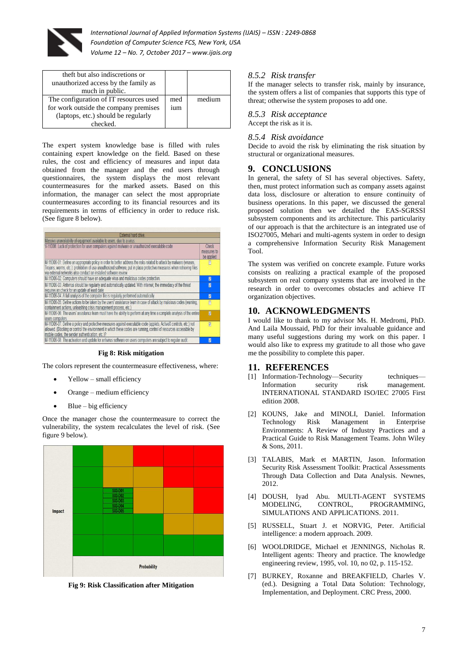

| theft but also indiscretions or<br>unauthorized access by the family as<br>much in public.                                        |            |        |
|-----------------------------------------------------------------------------------------------------------------------------------|------------|--------|
| The configuration of IT resources used<br>for work outside the company premises<br>(laptops, etc.) should be regularly<br>checked | med<br>ium | medium |

The expert system knowledge base is filled with rules containing expert knowledge on the field. Based on these rules, the cost and efficiency of measures and input data obtained from the manager and the end users through questionnaires, the system displays the most relevant countermeasures for the marked assets. Based on this information, the manager can select the most appropriate countermeasures according to its financial resources and its requirements in terms of efficiency in order to reduce risk. (See figure 8 below).

| <b>External hard drive</b>                                                                                                                                                                                                                                                                                        |                                    |
|-------------------------------------------------------------------------------------------------------------------------------------------------------------------------------------------------------------------------------------------------------------------------------------------------------------------|------------------------------------|
| Massive unavailability of equipment available to users, due to a virus.                                                                                                                                                                                                                                           |                                    |
| V-11D06: Lack of protection for user computers against malware or unauthorized executable code                                                                                                                                                                                                                    | Check<br>measures to<br>be applied |
| M-11D06-01: Define an appropriate policy in order to better address the risks related to attack by malware (viruses,<br>Trojans, worms, etc.); prohibition of use unauthorized software, put in place protective measures when retrieving files<br>wa external networks also conduct an installed software review | n                                  |
| M-11D06-02: Computers should have an adequate virus and malicious codes protection.                                                                                                                                                                                                                               | 0                                  |
| M-11D06-03: Antivirus should be regularly and automatically updated. With internet, the immediacy of the threat<br>requires an check for an update at least daily.                                                                                                                                                | 0                                  |
| M-11D06-04: A full analysis of the computer file is regularly performed automatically.                                                                                                                                                                                                                            | Ø                                  |
| M-11D06-05: Define actions to be taken by the users' assistance team in case of attack by malicious codes (warning,<br>containment actions, unleashing crisis management process, etc.                                                                                                                            | 冒                                  |
| M-11D06-06: The users' assistance team must have the ability to perform at any time a complete analysis of the entire<br>lusers computers.                                                                                                                                                                        | $\overline{\mathbf{z}}$            |
| M-11D06-07: Define a policy and protective measures against executable code (applets, ActiveX controls, etc.) not<br>allowed. (Blocking or control the environment in which these codes are running, control of resources accessible by<br>mobile codes, the sender authentication, etc.)?                        | $\overline{V}$                     |
| M-11D06-08: The activation and update for antivirus software on users computers are subject to regular audit.                                                                                                                                                                                                     | 0                                  |
|                                                                                                                                                                                                                                                                                                                   |                                    |

#### **Fig 8: Risk mitigation**

The colors represent the countermeasure effectiveness, where:

- Yellow small efficiency
- Orange medium efficiency
- Blue big efficiency

Once the manager chose the countermeasure to correct the vulnerability, the system recalculates the level of risk. (See figure 9 below).



**Fig 9: Risk Classification after Mitigation**

### *8.5.2 Risk transfer*

If the manager selects to transfer risk, mainly by insurance, the system offers a list of companies that supports this type of threat; otherwise the system proposes to add one.

# *8.5.3 Risk acceptance*

Accept the risk as it is.

#### *8.5.4 Risk avoidance*

Decide to avoid the risk by eliminating the risk situation by structural or organizational measures.

### **9. CONCLUSIONS**

In general, the safety of SI has several objectives. Safety, then, must protect information such as company assets against data loss, disclosure or alteration to ensure continuity of business operations. In this paper, we discussed the general proposed solution then we detailed the EAS-SGRSSI subsystem components and its architecture. This particularity of our approach is that the architecture is an integrated use of ISO27005, Mehari and multi-agents system in order to design a comprehensive Information Security Risk Management Tool.

The system was verified on concrete example. Future works consists on realizing a practical example of the proposed subsystem on real company systems that are involved in the research in order to overcomes obstacles and achieve IT organization objectives.

### **10. ACKNOWLEDGMENTS**

I would like to thank to my advisor Ms. H. Medromi, PhD. And Laila Moussaid, PhD for their invaluable guidance and many useful suggestions during my work on this paper. I would also like to express my gratitude to all those who gave me the possibility to complete this paper.

### **11. REFERENCES**

- [1] Information-Technology—Security techniques— Information security risk management. INTERNATIONAL STANDARD ISO/IEC 27005 First edition 2008.
- [2] KOUNS, Jake and MINOLI, Daniel. Information Technology Risk Management in Enterprise Environments: A Review of Industry Practices and a Practical Guide to Risk Management Teams. John Wiley & Sons, 2011.
- [3] TALABIS, Mark et MARTIN, Jason. Information Security Risk Assessment Toolkit: Practical Assessments Through Data Collection and Data Analysis. Newnes, 2012.
- [4] DOUSH, Iyad Abu. MULTI-AGENT SYSTEMS MODELING, CONTROL, PROGRAMMING, SIMULATIONS AND APPLICATIONS. 2011.
- [5] RUSSELL, Stuart J. et NORVIG, Peter. Artificial intelligence: a modern approach. 2009.
- [6] WOOLDRIDGE, Michael et JENNINGS, Nicholas R. Intelligent agents: Theory and practice. The knowledge engineering review, 1995, vol. 10, no 02, p. 115-152.
- [7] BURKEY, Roxanne and BREAKFIELD, Charles V. (ed.). Designing a Total Data Solution: Technology, Implementation, and Deployment. CRC Press, 2000.